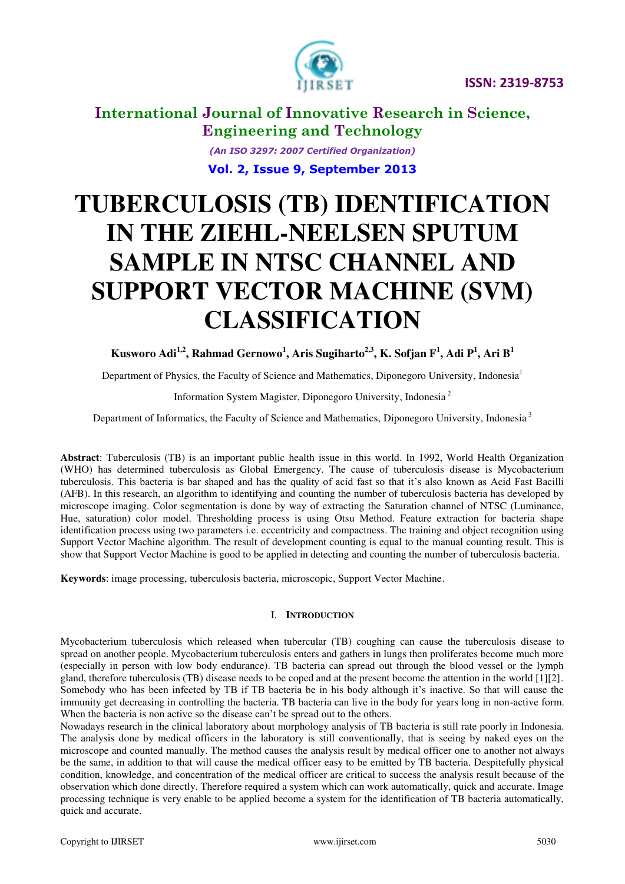



**International Journal of Innovative Research in Science, Engineering and Technology** 

> *(An ISO 3297: 2007 Certified Organization)*  **Vol. 2, Issue 9, September 2013**

# **TUBERCULOSIS (TB) IDENTIFICATION IN THE ZIEHL-NEELSEN SPUTUM SAMPLE IN NTSC CHANNEL AND SUPPORT VECTOR MACHINE (SVM) CLASSIFICATION**

**Kusworo Adi1,2, Rahmad Gernowo<sup>1</sup> , Aris Sugiharto2,3, K. Sofjan F<sup>1</sup> , Adi P<sup>1</sup> , Ari B<sup>1</sup>**

Department of Physics, the Faculty of Science and Mathematics, Diponegoro University, Indonesia<sup>1</sup>

Information System Magister, Diponegoro University, Indonesia<sup>2</sup>

Department of Informatics, the Faculty of Science and Mathematics, Diponegoro University, Indonesia<sup>3</sup>

**Abstract**: Tuberculosis (TB) is an important public health issue in this world. In 1992, World Health Organization (WHO) has determined tuberculosis as Global Emergency. The cause of tuberculosis disease is Mycobacterium tuberculosis. This bacteria is bar shaped and has the quality of acid fast so that it's also known as Acid Fast Bacilli (AFB). In this research, an algorithm to identifying and counting the number of tuberculosis bacteria has developed by microscope imaging. Color segmentation is done by way of extracting the Saturation channel of NTSC (Luminance, Hue, saturation) color model. Thresholding process is using Otsu Method. Feature extraction for bacteria shape identification process using two parameters i.e. eccentricity and compactness. The training and object recognition using Support Vector Machine algorithm. The result of development counting is equal to the manual counting result. This is show that Support Vector Machine is good to be applied in detecting and counting the number of tuberculosis bacteria.

**Keywords**: image processing, tuberculosis bacteria, microscopic, Support Vector Machine.

#### I. **INTRODUCTION**

Mycobacterium tuberculosis which released when tubercular (TB) coughing can cause the tuberculosis disease to spread on another people. Mycobacterium tuberculosis enters and gathers in lungs then proliferates become much more (especially in person with low body endurance). TB bacteria can spread out through the blood vessel or the lymph gland, therefore tuberculosis (TB) disease needs to be coped and at the present become the attention in the world [1][2]. Somebody who has been infected by TB if TB bacteria be in his body although it's inactive. So that will cause the immunity get decreasing in controlling the bacteria. TB bacteria can live in the body for years long in non-active form. When the bacteria is non active so the disease can't be spread out to the others.

Nowadays research in the clinical laboratory about morphology analysis of TB bacteria is still rate poorly in Indonesia. The analysis done by medical officers in the laboratory is still conventionally, that is seeing by naked eyes on the microscope and counted manually. The method causes the analysis result by medical officer one to another not always be the same, in addition to that will cause the medical officer easy to be emitted by TB bacteria. Despitefully physical condition, knowledge, and concentration of the medical officer are critical to success the analysis result because of the observation which done directly. Therefore required a system which can work automatically, quick and accurate. Image processing technique is very enable to be applied become a system for the identification of TB bacteria automatically, quick and accurate.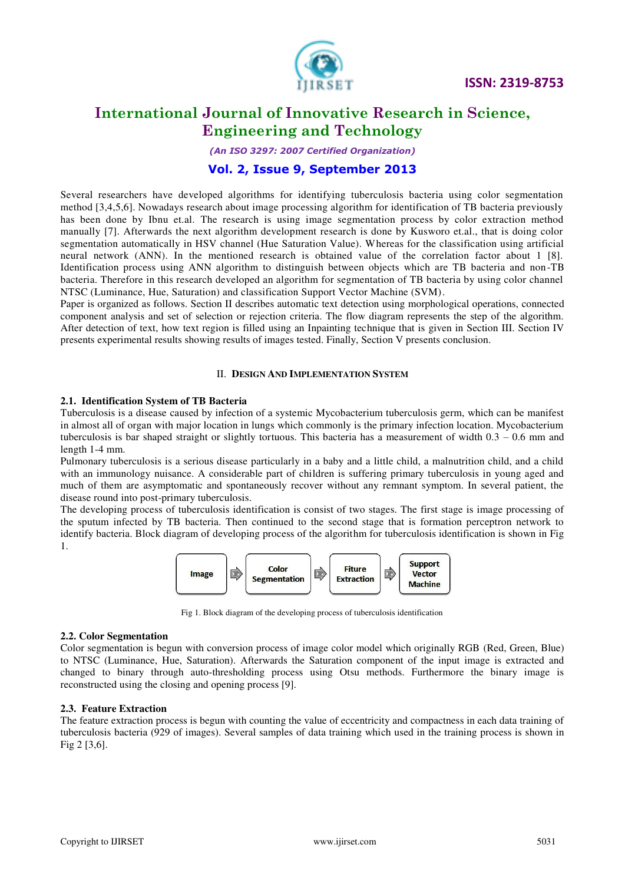

# **International Journal of Innovative Research in Science, Engineering and Technology**

*(An ISO 3297: 2007 Certified Organization)* 

### **Vol. 2, Issue 9, September 2013**

Several researchers have developed algorithms for identifying tuberculosis bacteria using color segmentation method [3,4,5,6]. Nowadays research about image processing algorithm for identification of TB bacteria previously has been done by Ibnu et.al. The research is using image segmentation process by color extraction method manually [7]. Afterwards the next algorithm development research is done by Kusworo et.al., that is doing color segmentation automatically in HSV channel (Hue Saturation Value). Whereas for the classification using artificial neural network (ANN). In the mentioned research is obtained value of the correlation factor about 1 [8]. Identification process using ANN algorithm to distinguish between objects which are TB bacteria and non -TB bacteria. Therefore in this research developed an algorithm for segmentation of TB bacteria by using color channel NTSC (Luminance, Hue, Saturation) and classification Support Vector Machine (SVM).

Paper is organized as follows. Section II describes automatic text detection using morphological operations, connected component analysis and set of selection or rejection criteria. The flow diagram represents the step of the algorithm. After detection of text, how text region is filled using an Inpainting technique that is given in Section III. Section IV presents experimental results showing results of images tested. Finally, Section V presents conclusion.

#### II. **DESIGN AND IMPLEMENTATION SYSTEM**

#### **2.1. Identification System of TB Bacteria**

Tuberculosis is a disease caused by infection of a systemic Mycobacterium tuberculosis germ, which can be manifest in almost all of organ with major location in lungs which commonly is the primary infection location. Mycobacterium tuberculosis is bar shaped straight or slightly tortuous. This bacteria has a measurement of width  $0.3 - 0.6$  mm and length 1-4 mm.

Pulmonary tuberculosis is a serious disease particularly in a baby and a little child, a malnutrition child, and a child with an immunology nuisance. A considerable part of children is suffering primary tuberculosis in young aged and much of them are asymptomatic and spontaneously recover without any remnant symptom. In several patient, the disease round into post-primary tuberculosis.

The developing process of tuberculosis identification is consist of two stages. The first stage is image processing of the sputum infected by TB bacteria. Then continued to the second stage that is formation perceptron network to identify bacteria. Block diagram of developing process of the algorithm for tuberculosis identification is shown in Fig 1.



Fig 1. Block diagram of the developing process of tuberculosis identification

#### **2.2. Color Segmentation**

Color segmentation is begun with conversion process of image color model which originally RGB (Red, Green, Blue) to NTSC (Luminance, Hue, Saturation). Afterwards the Saturation component of the input image is extracted and changed to binary through auto-thresholding process using Otsu methods. Furthermore the binary image is reconstructed using the closing and opening process [9].

#### **2.3. Feature Extraction**

The feature extraction process is begun with counting the value of eccentricity and compactness in each data training of tuberculosis bacteria (929 of images). Several samples of data training which used in the training process is shown in Fig 2 [3,6].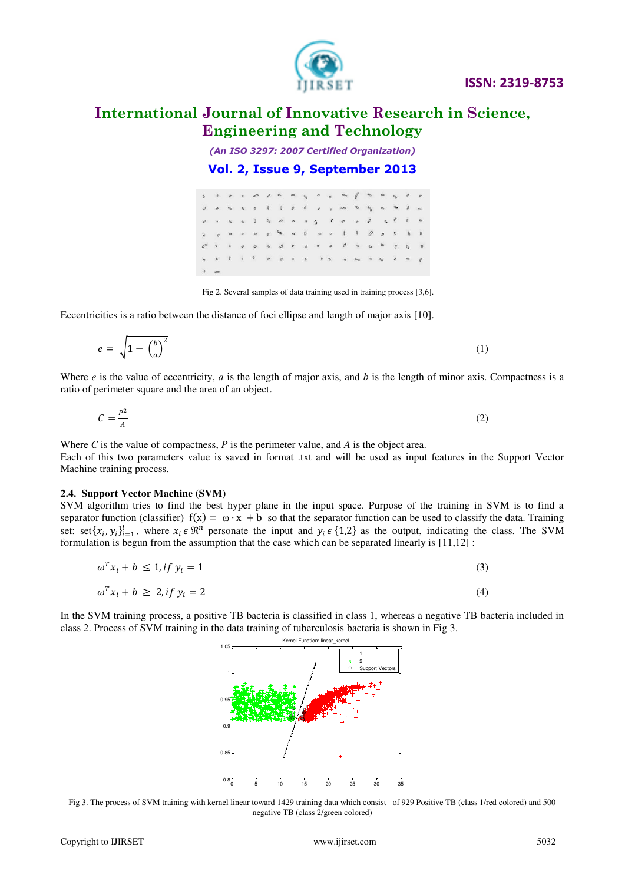#### **ISSN: 2319-8753**

# **International Journal of Innovative Research in Science, Engineering and Technology**

*(An ISO 3297: 2007 Certified Organization)* 

#### **Vol. 2, Issue 9, September 2013**

Fig 2. Several samples of data training used in training process [3,6].

Eccentricities is a ratio between the distance of foci ellipse and length of major axis [10].

Where 
$$
e
$$
 is the value of eccentricity,  $a$  is the length of major axis, and  $b$  is the length of minor axis. Compactness is a ratio of perimeter square and the area of an object.

(1)

$$
C = \frac{P^2}{A} \tag{2}
$$

Where *C* is the value of compactness, *P* is the perimeter value, and *A* is the object area. Each of this two parameters value is saved in format .txt and will be used as input features in the Support Vector Machine training process.

#### **2.4. Support Vector Machine (SVM)**

 $e = \sqrt{1 - \left(\frac{b}{a}\right)^2}$ 

SVM algorithm tries to find the best hyper plane in the input space. Purpose of the training in SVM is to find a separator function (classifier)  $f(x) = \omega \cdot x + b$  so that the separator function can be used to classify the data. Training set: set $\{x_i, y_i\}_{i=1}^l$ , where  $x_i \in \mathbb{R}^n$  personate the input and  $y_i \in \{1,2\}$  as the output, indicating the class. The SVM formulation is begun from the assumption that the case which can be separated linearly is [11,12] :

$$
\omega^T x_i + b \le 1, \text{if } y_i = 1 \tag{3}
$$

 $\omega^T x_i + b \ge 2, \text{if } y_i = 2$  (4)

In the SVM training process, a positive TB bacteria is classified in class 1, whereas a negative TB bacteria included in class 2. Process of SVM training in the data training of tuberculosis bacteria is shown in Fig 3.

Fig 3. The process of SVM training with kernel linear toward 1429 training data which consist of 929 Positive TB (class 1/red colored) and 500 negative TB (class 2/green colored)

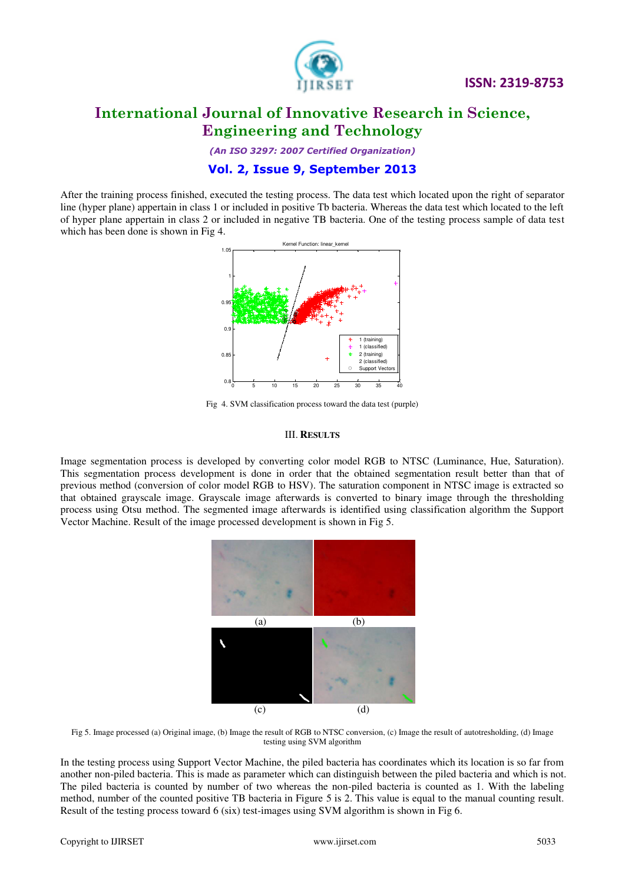

 **ISSN: 2319-8753** 

# **International Journal of Innovative Research in Science, Engineering and Technology**

*(An ISO 3297: 2007 Certified Organization)* 

#### **Vol. 2, Issue 9, September 2013**

After the training process finished, executed the testing process. The data test which located upon the right of separator line (hyper plane) appertain in class 1 or included in positive Tb bacteria. Whereas the data test which located to the left of hyper plane appertain in class 2 or included in negative TB bacteria. One of the testing process sample of data test which has been done is shown in Fig 4.



Fig 4. SVM classification process toward the data test (purple)

#### III. **RESULTS**

Image segmentation process is developed by converting color model RGB to NTSC (Luminance, Hue, Saturation). This segmentation process development is done in order that the obtained segmentation result better than that of previous method (conversion of color model RGB to HSV). The saturation component in NTSC image is extracted so that obtained grayscale image. Grayscale image afterwards is converted to binary image through the thresholding process using Otsu method. The segmented image afterwards is identified using classification algorithm the Support Vector Machine. Result of the image processed development is shown in Fig 5.



Fig 5. Image processed (a) Original image, (b) Image the result of RGB to NTSC conversion, (c) Image the result of autotresholding, (d) Image testing using SVM algorithm

In the testing process using Support Vector Machine, the piled bacteria has coordinates which its location is so far from another non-piled bacteria. This is made as parameter which can distinguish between the piled bacteria and which is not. The piled bacteria is counted by number of two whereas the non-piled bacteria is counted as 1. With the labeling method, number of the counted positive TB bacteria in Figure 5 is 2. This value is equal to the manual counting result. Result of the testing process toward 6 (six) test-images using SVM algorithm is shown in Fig 6.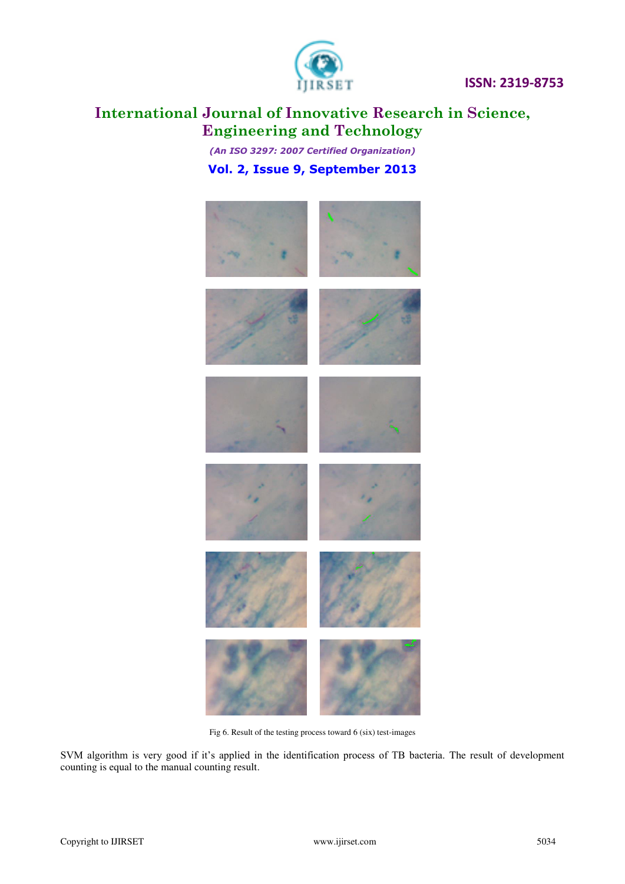

 **ISSN: 2319-8753** 

# **International Journal of Innovative Research in Science, Engineering and Technology**

*(An ISO 3297: 2007 Certified Organization)*  **Vol. 2, Issue 9, September 2013**



Fig 6. Result of the testing process toward 6 (six) test-images

SVM algorithm is very good if it's applied in the identification process of TB bacteria. The result of development counting is equal to the manual counting result.